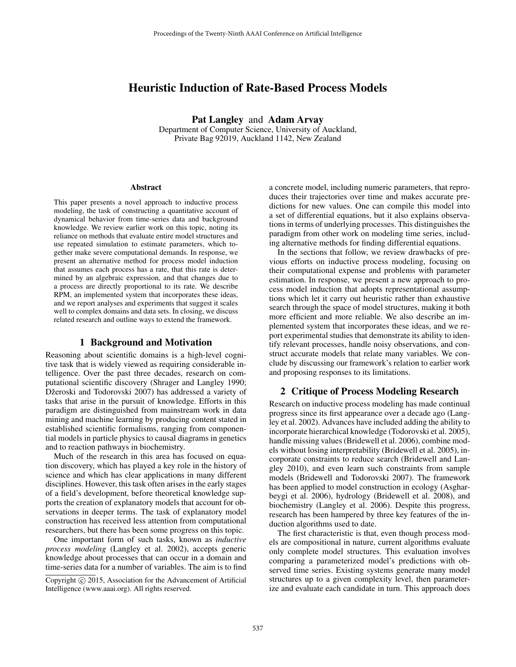# Heuristic Induction of Rate-Based Process Models

Pat Langley and Adam Arvay

Department of Computer Science, University of Auckland, Private Bag 92019, Auckland 1142, New Zealand

#### Abstract

This paper presents a novel approach to inductive process modeling, the task of constructing a quantitative account of dynamical behavior from time-series data and background knowledge. We review earlier work on this topic, noting its reliance on methods that evaluate entire model structures and use repeated simulation to estimate parameters, which together make severe computational demands. In response, we present an alternative method for process model induction that assumes each process has a rate, that this rate is determined by an algebraic expression, and that changes due to a process are directly proportional to its rate. We describe RPM, an implemented system that incorporates these ideas, and we report analyses and experiments that suggest it scales well to complex domains and data sets. In closing, we discuss related research and outline ways to extend the framework.

#### 1 Background and Motivation

Reasoning about scientific domains is a high-level cognitive task that is widely viewed as requiring considerable intelligence. Over the past three decades, research on computational scientific discovery (Shrager and Langley 1990; Džeroski and Todorovski 2007) has addressed a variety of tasks that arise in the pursuit of knowledge. Efforts in this paradigm are distinguished from mainstream work in data mining and machine learning by producing content stated in established scientific formalisms, ranging from componential models in particle physics to causal diagrams in genetics and to reaction pathways in biochemistry.

Much of the research in this area has focused on equation discovery, which has played a key role in the history of science and which has clear applications in many different disciplines. However, this task often arises in the early stages of a field's development, before theoretical knowledge supports the creation of explanatory models that account for observations in deeper terms. The task of explanatory model construction has received less attention from computational researchers, but there has been some progress on this topic.

One important form of such tasks, known as *inductive process modeling* (Langley et al. 2002), accepts generic knowledge about processes that can occur in a domain and time-series data for a number of variables. The aim is to find

a concrete model, including numeric parameters, that reproduces their trajectories over time and makes accurate predictions for new values. One can compile this model into a set of differential equations, but it also explains observations in terms of underlying processes. This distinguishes the paradigm from other work on modeling time series, including alternative methods for finding differential equations.

In the sections that follow, we review drawbacks of previous efforts on inductive process modeling, focusing on their computational expense and problems with parameter estimation. In response, we present a new approach to process model induction that adopts representational assumptions which let it carry out heuristic rather than exhaustive search through the space of model structures, making it both more efficient and more reliable. We also describe an implemented system that incorporates these ideas, and we report experimental studies that demonstrate its ability to identify relevant processes, handle noisy observations, and construct accurate models that relate many variables. We conclude by discussing our framework's relation to earlier work and proposing responses to its limitations.

### 2 Critique of Process Modeling Research

Research on inductive process modeling has made continual progress since its first appearance over a decade ago (Langley et al. 2002). Advances have included adding the ability to incorporate hierarchical knowledge (Todorovski et al. 2005), handle missing values (Bridewell et al. 2006), combine models without losing interpretability (Bridewell et al. 2005), incorporate constraints to reduce search (Bridewell and Langley 2010), and even learn such constraints from sample models (Bridewell and Todorovski 2007). The framework has been applied to model construction in ecology (Asgharbeygi et al. 2006), hydrology (Bridewell et al. 2008), and biochemistry (Langley et al. 2006). Despite this progress, research has been hampered by three key features of the induction algorithms used to date.

The first characteristic is that, even though process models are compositional in nature, current algorithms evaluate only complete model structures. This evaluation involves comparing a parameterized model's predictions with observed time series. Existing systems generate many model structures up to a given complexity level, then parameterize and evaluate each candidate in turn. This approach does

Copyright  $\odot$  2015, Association for the Advancement of Artificial Intelligence (www.aaai.org). All rights reserved.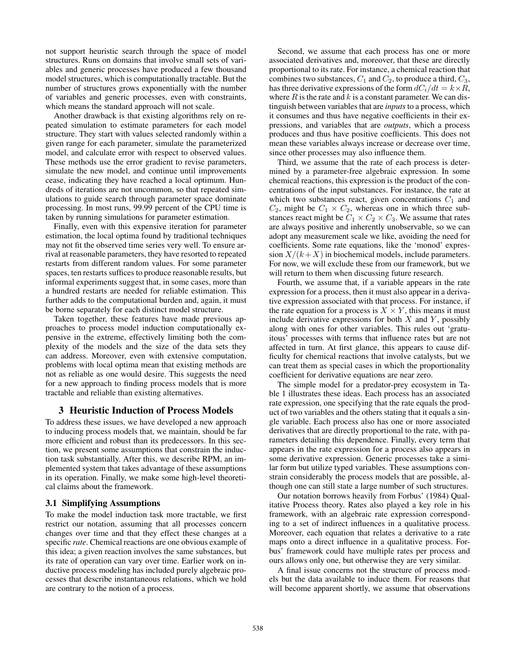not support heuristic search through the space of model structures. Runs on domains that involve small sets of variables and generic processes have produced a few thousand model structures, which is computationally tractable. But the number of structures grows exponentially with the number of variables and generic processes, even with constraints, which means the standard approach will not scale.

Another drawback is that existing algorithms rely on repeated simulation to estimate parameters for each model structure. They start with values selected randomly within a given range for each parameter, simulate the parameterized model, and calculate error with respect to observed values. These methods use the error gradient to revise parameters, simulate the new model, and continue until improvements cease, indicating they have reached a local optimum. Hundreds of iterations are not uncommon, so that repeated simulations to guide search through parameter space dominate processing. In most runs, 99.99 percent of the CPU time is taken by running simulations for parameter estimation.

Finally, even with this expensive iteration for parameter estimation, the local optima found by traditional techniques may not fit the observed time series very well. To ensure arrival at reasonable parameters, they have resorted to repeated restarts from different random values. For some parameter spaces, ten restarts suffices to produce reasonable results, but informal experiments suggest that, in some cases, more than a hundred restarts are needed for reliable estimation. This further adds to the computational burden and, again, it must be borne separately for each distinct model structure.

Taken together, these features have made previous approaches to process model induction computationally expensive in the extreme, effectively limiting both the complexity of the models and the size of the data sets they can address. Moreover, even with extensive computation, problems with local optima mean that existing methods are not as reliable as one would desire. This suggests the need for a new approach to finding process models that is more tractable and reliable than existing alternatives.

### 3 Heuristic Induction of Process Models

To address these issues, we have developed a new approach to inducing process models that, we maintain, should be far more efficient and robust than its predecessors. In this section, we present some assumptions that constrain the induction task substantially. After this, we describe RPM, an implemented system that takes advantage of these assumptions in its operation. Finally, we make some high-level theoretical claims about the framework.

#### 3.1 Simplifying Assumptions

To make the model induction task more tractable, we first restrict our notation, assuming that all processes concern changes over time and that they effect these changes at a specific *rate*. Chemical reactions are one obvious example of this idea; a given reaction involves the same substances, but its rate of operation can vary over time. Earlier work on inductive process modeling has included purely algebraic processes that describe instantaneous relations, which we hold are contrary to the notion of a process.

Second, we assume that each process has one or more associated derivatives and, moreover, that these are directly proportional to its rate. For instance, a chemical reaction that combines two substances,  $C_1$  and  $C_2$ , to produce a third,  $C_3$ , has three derivative expressions of the form  $dC_i/dt = k \times R$ , where  $R$  is the rate and  $k$  is a constant parameter. We can distinguish between variables that are *inputs*to a process, which it consumes and thus have negative coefficients in their expressions, and variables that are *outputs*, which a process produces and thus have positive coefficients. This does not mean these variables always increase or decrease over time, since other processes may also influence them.

Third, we assume that the rate of each process is determined by a parameter-free algebraic expression. In some chemical reactions, this expression is the product of the concentrations of the input substances. For instance, the rate at which two substances react, given concentrations  $C_1$  and  $C_2$ , might be  $C_1 \times C_2$ , whereas one in which three substances react might be  $C_1 \times C_2 \times C_3$ . We assume that rates are always positive and inherently unobservable, so we can adopt any measurement scale we like, avoiding the need for coefficients. Some rate equations, like the 'monod' expression  $X/(k+X)$  in biochemical models, include parameters. For now, we will exclude these from our framework, but we will return to them when discussing future research.

Fourth, we assume that, if a variable appears in the rate expression for a process, then it must also appear in a derivative expression associated with that process. For instance, if the rate equation for a process is  $X \times Y$ , this means it must include derivative expressions for both  $X$  and  $Y$ , possibly along with ones for other variables. This rules out 'gratuitous' processes with terms that influence rates but are not affected in turn. At first glance, this appears to cause difficulty for chemical reactions that involve catalysts, but we can treat them as special cases in which the proportionality coefficient for derivative equations are near zero.

The simple model for a predator-prey ecosystem in Table 1 illustrates these ideas. Each process has an associated rate expression, one specifying that the rate equals the product of two variables and the others stating that it equals a single variable. Each process also has one or more associated derivatives that are directly proportional to the rate, with parameters detailing this dependence. Finally, every term that appears in the rate expression for a process also appears in some derivative expression. Generic processes take a similar form but utilize typed variables. These assumptions constrain considerably the process models that are possible, although one can still state a large number of such structures.

Our notation borrows heavily from Forbus' (1984) Qualitative Process theory. Rates also played a key role in his framework, with an algebraic rate expression corresponding to a set of indirect influences in a qualitative process. Moreover, each equation that relates a derivative to a rate maps onto a direct influence in a qualitative process. Forbus' framework could have multiple rates per process and ours allows only one, but otherwise they are very similar.

A final issue concerns not the structure of process models but the data available to induce them. For reasons that will become apparent shortly, we assume that observations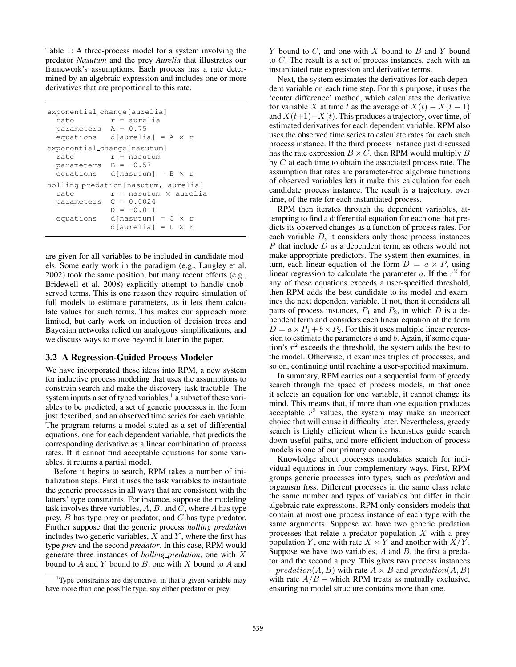Table 1: A three-process model for a system involving the predator *Nasutum* and the prey *Aurelia* that illustrates our framework's assumptions. Each process has a rate determined by an algebraic expression and includes one or more derivatives that are proportional to this rate.

```
exponential change[aurelia]
rate r = aureparameters A = 0.75
equations d[aurelia] = A \times rexponential change[nasutum]
rate r = nasutum
parameters B = -0.57equations d[nasutum] = B \times rholling predation[nasutum, aurelia]
rate r = nasutum \times aurelia
parameters C = 0.0024
           D = -0.011equations d[nasutum] = C \times rd[aurelia] = D \times r
```
are given for all variables to be included in candidate models. Some early work in the paradigm (e.g., Langley et al. 2002) took the same position, but many recent efforts (e.g., Bridewell et al. 2008) explicitly attempt to handle unobserved terms. This is one reason they require simulation of full models to estimate parameters, as it lets them calculate values for such terms. This makes our approach more limited, but early work on induction of decision trees and Bayesian networks relied on analogous simplifications, and we discuss ways to move beyond it later in the paper.

#### 3.2 A Regression-Guided Process Modeler

We have incorporated these ideas into RPM, a new system for inductive process modeling that uses the assumptions to constrain search and make the discovery task tractable. The system inputs a set of typed variables, $<sup>1</sup>$  a subset of these vari-</sup> ables to be predicted, a set of generic processes in the form just described, and an observed time series for each variable. The program returns a model stated as a set of differential equations, one for each dependent variable, that predicts the corresponding derivative as a linear combination of process rates. If it cannot find acceptable equations for some variables, it returns a partial model.

Before it begins to search, RPM takes a number of initialization steps. First it uses the task variables to instantiate the generic processes in all ways that are consistent with the latters' type constraints. For instance, suppose the modeling task involves three variables,  $A, B$ , and  $C$ , where  $A$  has type prey, B has type prey or predator, and C has type predator. Further suppose that the generic process *holling predation* includes two generic variables,  $X$  and  $Y$ , where the first has type *prey* and the second *predator*. In this case, RPM would generate three instances of *holling predation*, one with X bound to  $A$  and  $Y$  bound to  $B$ , one with  $X$  bound to  $A$  and

 $Y$  bound to  $C$ , and one with  $X$  bound to  $B$  and  $Y$  bound to C. The result is a set of process instances, each with an instantiated rate expression and derivative terms.

Next, the system estimates the derivatives for each dependent variable on each time step. For this purpose, it uses the 'center difference' method, which calculates the derivative for variable X at time t as the average of  $X(t) - X(t-1)$ and  $X(t+1)-X(t)$ . This produces a trajectory, over time, of estimated derivatives for each dependent variable. RPM also uses the observed time series to calculate rates for each such process instance. If the third process instance just discussed has the rate expression  $B \times C$ , then RPM would multiply B by C at each time to obtain the associated process rate. The assumption that rates are parameter-free algebraic functions of observed variables lets it make this calculation for each candidate process instance. The result is a trajectory, over time, of the rate for each instantiated process.

RPM then iterates through the dependent variables, attempting to find a differential equation for each one that predicts its observed changes as a function of process rates. For each variable  $D$ , it considers only those process instances  $P$  that include  $D$  as a dependent term, as others would not make appropriate predictors. The system then examines, in turn, each linear equation of the form  $D = a \times P$ , using linear regression to calculate the parameter  $a$ . If the  $r^2$  for any of these equations exceeds a user-specified threshold, then RPM adds the best candidate to its model and examines the next dependent variable. If not, then it considers all pairs of process instances,  $P_1$  and  $P_2$ , in which D is a dependent term and considers each linear equation of the form  $D = a \times P_1 + b \times P_2$ . For this it uses multiple linear regression to estimate the parameters  $a$  and  $b$ . Again, if some equation's  $r^2$  exceeds the threshold, the system adds the best to the model. Otherwise, it examines triples of processes, and so on, continuing until reaching a user-specified maximum.

In summary, RPM carries out a sequential form of greedy search through the space of process models, in that once it selects an equation for one variable, it cannot change its mind. This means that, if more than one equation produces acceptable  $r^2$  values, the system may make an incorrect choice that will cause it difficulty later. Nevertheless, greedy search is highly efficient when its heuristics guide search down useful paths, and more efficient induction of process models is one of our primary concerns.

Knowledge about processes modulates search for individual equations in four complementary ways. First, RPM groups generic processes into types, such as predation and organism loss. Different processes in the same class relate the same number and types of variables but differ in their algebraic rate expressions. RPM only considers models that contain at most one process instance of each type with the same arguments. Suppose we have two generic predation processes that relate a predator population  $X$  with a prey population Y, one with rate  $X \times Y$  and another with  $X/Y$ . Suppose we have two variables,  $A$  and  $B$ , the first a predator and the second a prey. This gives two process instances – predation(A, B) with rate  $A \times B$  and predation(A, B) with rate  $A/B$  – which RPM treats as mutually exclusive, ensuring no model structure contains more than one.

<sup>&</sup>lt;sup>1</sup>Type constraints are disjunctive, in that a given variable may have more than one possible type, say either predator or prey.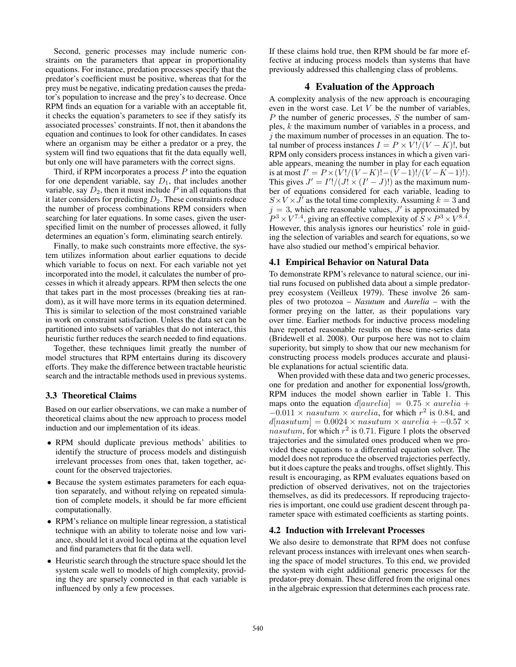Second, generic processes may include numeric constraints on the parameters that appear in proportionality equations. For instance, predation processes specify that the predator's coefficient must be positive, whereas that for the prey must be negative, indicating predation causes the predator's population to increase and the prey's to decrease. Once RPM finds an equation for a variable with an acceptable fit, it checks the equation's parameters to see if they satisfy its associated processes' constraints. If not, then it abandons the equation and continues to look for other candidates. In cases where an organism may be either a predator or a prey, the system will find two equations that fit the data equally well, but only one will have parameters with the correct signs.

Third, if RPM incorporates a process  $P$  into the equation for one dependent variable, say  $D_1$ , that includes another variable, say  $D_2$ , then it must include P in all equations that it later considers for predicting  $D_2$ . These constraints reduce the number of process combinations RPM considers when searching for later equations. In some cases, given the userspecified limit on the number of processes allowed, it fully determines an equation's form, eliminating search entirely.

Finally, to make such constraints more effective, the system utilizes information about earlier equations to decide which variable to focus on next. For each variable not yet incorporated into the model, it calculates the number of processes in which it already appears. RPM then selects the one that takes part in the most processes (breaking ties at random), as it will have more terms in its equation determined. This is similar to selection of the most constrained variable in work on constraint satisfaction. Unless the data set can be partitioned into subsets of variables that do not interact, this heuristic further reduces the search needed to find equations.

Together, these techniques limit greatly the number of model structures that RPM entertains during its discovery efforts. They make the difference between tractable heuristic search and the intractable methods used in previous systems.

### 3.3 Theoretical Claims

Based on our earlier observations, we can make a number of theoretical claims about the new approach to process model induction and our implementation of its ideas.

- RPM should duplicate previous methods' abilities to identify the structure of process models and distinguish irrelevant processes from ones that, taken together, account for the observed trajectories.
- Because the system estimates parameters for each equation separately, and without relying on repeated simulation of complete models, it should be far more efficient computationally.
- RPM's reliance on multiple linear regression, a statistical technique with an ability to tolerate noise and low variance, should let it avoid local optima at the equation level and find parameters that fit the data well.
- Heuristic search through the structure space should let the system scale well to models of high complexity, providing they are sparsely connected in that each variable is influenced by only a few processes.

If these claims hold true, then RPM should be far more effective at inducing process models than systems that have previously addressed this challenging class of problems.

### 4 Evaluation of the Approach

A complexity analysis of the new approach is encouraging even in the worst case. Let  $V$  be the number of variables,  $P$  the number of generic processes,  $S$  the number of samples, k the maximum number of variables in a process, and  $i$  the maximum number of processes in an equation. The total number of process instances  $I = P \times V!/(V - K)!$ , but RPM only considers process instances in which a given variable appears, meaning the number in play for each equation is at most  $I' = P \times (V!/(V-K)!-(V-1)!/(V-K-1)!).$ This gives  $J' = I'!/(J! \times (I' - J)!)$  as the maximum number of equations considered for each variable, leading to  $S \times V \times \hat{J}'$  as the total time complexity. Assuming  $k = 3$  and  $j = 3$ , which are reasonable values,  $J'$  is approximated by  $P^3 \times V^{7.4}$ , giving an effective complexity of  $S \times P^3 \times V^{8.4}$ . However, this analysis ignores our heuristics' role in guiding the selection of variables and search for equations, so we have also studied our method's empirical behavior.

#### 4.1 Empirical Behavior on Natural Data

To demonstrate RPM's relevance to natural science, our initial runs focused on published data about a simple predatorprey ecosystem (Veilleux 1979). These involve 26 samples of two protozoa – *Nasutum* and *Aurelia* – with the former preying on the latter, as their populations vary over time. Earlier methods for inductive process modeling have reported reasonable results on these time-series data (Bridewell et al. 2008). Our purpose here was not to claim superiority, but simply to show that our new mechanism for constructing process models produces accurate and plausible explanations for actual scientific data.

When provided with these data and two generic processes, one for predation and another for exponential loss/growth, RPM induces the model shown earlier in Table 1. This maps onto the equation  $d[aurelia] = 0.75 \times aurelia +$  $-0.011 \times$  nasutum  $\times$  aurelia, for which  $r^2$  is 0.84, and  $d[nasutum] = 0.0024 \times$  nasutum × aurelia + -0.57 ×  $n$ asutum, for which  $r^2$  is 0.71. Figure 1 plots the observed trajectories and the simulated ones produced when we provided these equations to a differential equation solver. The model does not reproduce the observed trajectories perfectly, but it does capture the peaks and troughs, offset slightly. This result is encouraging, as RPM evaluates equations based on prediction of observed derivatives, not on the trajectories themselves, as did its predecessors. If reproducing trajectories is important, one could use gradient descent through parameter space with estimated coefficients as starting points.

#### 4.2 Induction with Irrelevant Processes

We also desire to demonstrate that RPM does not confuse relevant process instances with irrelevant ones when searching the space of model structures. To this end, we provided the system with eight additional generic processes for the predator-prey domain. These differed from the original ones in the algebraic expression that determines each process rate.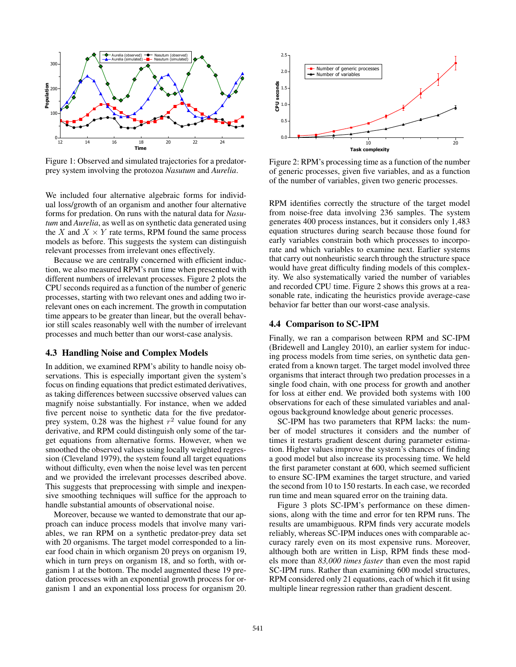

Figure 1: Observed and simulated trajectories for a predatorprey system involving the protozoa *Nasutum* and *Aurelia*.

We included four alternative algebraic forms for individual loss/growth of an organism and another four alternative forms for predation. On runs with the natural data for *Nasutum* and *Aurelia*, as well as on synthetic data generated using the X and  $X \times Y$  rate terms, RPM found the same process models as before. This suggests the system can distinguish relevant processes from irrelevant ones effectively.

Because we are centrally concerned with efficient induction, we also measured RPM's run time when presented with different numbers of irrelevant processes. Figure 2 plots the CPU seconds required as a function of the number of generic processes, starting with two relevant ones and adding two irrelevant ones on each increment. The growth in computation time appears to be greater than linear, but the overall behavior still scales reasonably well with the number of irrelevant processes and much better than our worst-case analysis.

#### 4.3 Handling Noise and Complex Models

In addition, we examined RPM's ability to handle noisy observations. This is especially important given the system's focus on finding equations that predict estimated derivatives, as taking differences between succssive observed values can magnify noise substantially. For instance, when we added five percent noise to synthetic data for the five predatorprey system, 0.28 was the highest  $r^2$  value found for any derivative, and RPM could distinguish only some of the target equations from alternative forms. However, when we smoothed the observed values using locally weighted regression (Cleveland 1979), the system found all target equations without difficulty, even when the noise level was ten percent and we provided the irrelevant processes described above. This suggests that preprocessing with simple and inexpensive smoothing techniques will suffice for the approach to handle substantial amounts of observational noise.

Moreover, because we wanted to demonstrate that our approach can induce process models that involve many variables, we ran RPM on a synthetic predator-prey data set with 20 organisms. The target model corresponded to a linear food chain in which organism 20 preys on organism 19, which in turn preys on organism 18, and so forth, with organism 1 at the bottom. The model augmented these 19 predation processes with an exponential growth process for organism 1 and an exponential loss process for organism 20.



Figure 2: RPM's processing time as a function of the number of generic processes, given five variables, and as a function of the number of variables, given two generic processes.

RPM identifies correctly the structure of the target model from noise-free data involving 236 samples. The system generates 400 process instances, but it considers only 1,483 equation structures during search because those found for early variables constrain both which processes to incorporate and which variables to examine next. Earlier systems that carry out nonheuristic search through the structure space would have great difficulty finding models of this complexity. We also systematically varied the number of variables and recorded CPU time. Figure 2 shows this grows at a reasonable rate, indicating the heuristics provide average-case behavior far better than our worst-case analysis.

#### 4.4 Comparison to SC-IPM

Finally, we ran a comparison between RPM and SC-IPM (Bridewell and Langley 2010), an earlier system for inducing process models from time series, on synthetic data generated from a known target. The target model involved three organisms that interact through two predation processes in a single food chain, with one process for growth and another for loss at either end. We provided both systems with 100 observations for each of these simulated variables and analogous background knowledge about generic processes.

SC-IPM has two parameters that RPM lacks: the number of model structures it considers and the number of times it restarts gradient descent during parameter estimation. Higher values improve the system's chances of finding a good model but also increase its processing time. We held the first parameter constant at 600, which seemed sufficient to ensure SC-IPM examines the target structure, and varied the second from 10 to 150 restarts. In each case, we recorded run time and mean squared error on the training data.

Figure 3 plots SC-IPM's performance on these dimensions, along with the time and error for ten RPM runs. The results are umambiguous. RPM finds very accurate models reliably, whereas SC-IPM induces ones with comparable accuracy rarely even on its most expensive runs. Moreover, although both are written in Lisp, RPM finds these models more than *83,000 times faster* than even the most rapid SC-IPM runs. Rather than examining 600 model structures, RPM considered only 21 equations, each of which it fit using multiple linear regression rather than gradient descent.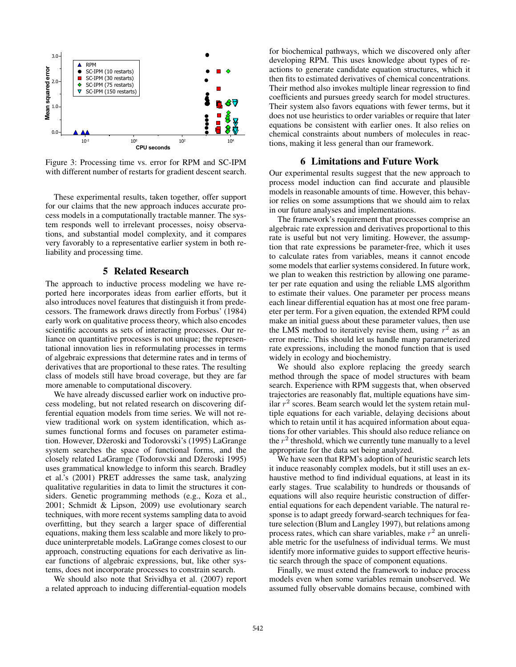

Figure 3: Processing time vs. error for RPM and SC-IPM with different number of restarts for gradient descent search.

These experimental results, taken together, offer support for our claims that the new approach induces accurate process models in a computationally tractable manner. The system responds well to irrelevant processes, noisy observations, and substantial model complexity, and it compares very favorably to a representative earlier system in both reliability and processing time.

### 5 Related Research

The approach to inductive process modeling we have reported here incorporates ideas from earlier efforts, but it also introduces novel features that distinguish it from predecessors. The framework draws directly from Forbus' (1984) early work on qualitative process theory, which also encodes scientific accounts as sets of interacting processes. Our reliance on quantitative processes is not unique; the representational innovation lies in reformulating processes in terms of algebraic expressions that determine rates and in terms of derivatives that are proportional to these rates. The resulting class of models still have broad coverage, but they are far more amenable to computational discovery.

We have already discussed earlier work on inductive process modeling, but not related research on discovering differential equation models from time series. We will not review traditional work on system identification, which assumes functional forms and focuses on parameter estimation. However, Džeroski and Todorovski's (1995) LaGrange system searches the space of functional forms, and the closely related LaGramge (Todorovski and Džeroski 1995) uses grammatical knowledge to inform this search. Bradley et al.'s (2001) PRET addresses the same task, analyzing qualitative regularities in data to limit the structures it considers. Genetic programming methods (e.g., Koza et al., 2001; Schmidt & Lipson, 2009) use evolutionary search techniques, with more recent systems sampling data to avoid overfitting, but they search a larger space of differential equations, making them less scalable and more likely to produce uninterpretable models. LaGrange comes closest to our approach, constructing equations for each derivative as linear functions of algebraic expressions, but, like other systems, does not incorporate processes to constrain search.

We should also note that Srividhya et al. (2007) report a related approach to inducing differential-equation models

for biochemical pathways, which we discovered only after developing RPM. This uses knowledge about types of reactions to generate candidate equation structures, which it then fits to estimated derivatives of chemical concentrations. Their method also invokes multiple linear regression to find coefficients and pursues greedy search for model structures. Their system also favors equations with fewer terms, but it does not use heuristics to order variables or require that later equations be consistent with earlier ones. It also relies on chemical constraints about numbers of molecules in reactions, making it less general than our framework.

### 6 Limitations and Future Work

Our experimental results suggest that the new approach to process model induction can find accurate and plausible models in reasonable amounts of time. However, this behavior relies on some assumptions that we should aim to relax in our future analyses and implementations.

The framework's requirement that processes comprise an algebraic rate expression and derivatives proportional to this rate is useful but not very limiting. However, the assumption that rate expressions be parameter-free, which it uses to calculate rates from variables, means it cannot encode some models that earlier systems considered. In future work, we plan to weaken this restriction by allowing one parameter per rate equation and using the reliable LMS algorithm to estimate their values. One parameter per process means each linear differential equation has at most one free parameter per term. For a given equation, the extended RPM could make an initial guess about these parameter values, then use the LMS method to iteratively revise them, using  $r^2$  as an error metric. This should let us handle many parameterized rate expressions, including the monod function that is used widely in ecology and biochemistry.

We should also explore replacing the greedy search method through the space of model structures with beam search. Experience with RPM suggests that, when observed trajectories are reasonably flat, multiple equations have similar  $r^2$  scores. Beam search would let the system retain multiple equations for each variable, delaying decisions about which to retain until it has acquired information about equations for other variables. This should also reduce reliance on the  $r^2$  threshold, which we currently tune manually to a level appropriate for the data set being analyzed.

We have seen that RPM's adoption of heuristic search lets it induce reasonably complex models, but it still uses an exhaustive method to find individual equations, at least in its early stages. True scalability to hundreds or thousands of equations will also require heuristic construction of differential equations for each dependent variable. The natural response is to adapt greedy forward-search techniques for feature selection (Blum and Langley 1997), but relations among process rates, which can share variables, make  $r^2$  an unreliable metric for the usefulness of individual terms. We must identify more informative guides to support effective heuristic search through the space of component equations.

Finally, we must extend the framework to induce process models even when some variables remain unobserved. We assumed fully observable domains because, combined with